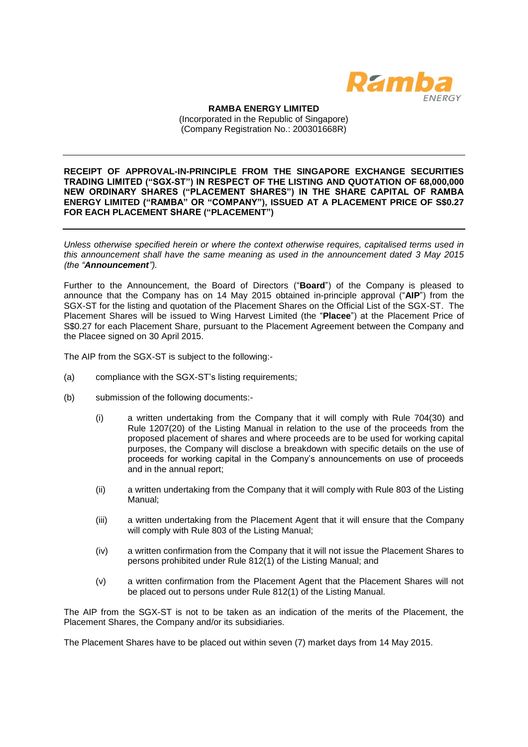

**RAMBA ENERGY LIMITED** (Incorporated in the Republic of Singapore) (Company Registration No.: 200301668R)

**RECEIPT OF APPROVAL-IN-PRINCIPLE FROM THE SINGAPORE EXCHANGE SECURITIES TRADING LIMITED ("SGX-ST") IN RESPECT OF THE LISTING AND QUOTATION OF 68,000,000 NEW ORDINARY SHARES ("PLACEMENT SHARES") IN THE SHARE CAPITAL OF RAMBA ENERGY LIMITED ("RAMBA" OR "COMPANY"), ISSUED AT A PLACEMENT PRICE OF S\$0.27 FOR EACH PLACEMENT SHARE ("PLACEMENT")**

*Unless otherwise specified herein or where the context otherwise requires, capitalised terms used in this announcement shall have the same meaning as used in the announcement dated 3 May 2015 (the "Announcement").*

Further to the Announcement, the Board of Directors ("**Board**") of the Company is pleased to announce that the Company has on 14 May 2015 obtained in-principle approval ("**AIP**") from the SGX-ST for the listing and quotation of the Placement Shares on the Official List of the SGX-ST. The Placement Shares will be issued to Wing Harvest Limited (the "**Placee**") at the Placement Price of S\$0.27 for each Placement Share, pursuant to the Placement Agreement between the Company and the Placee signed on 30 April 2015.

The AIP from the SGX-ST is subject to the following:-

- (a) compliance with the SGX-ST's listing requirements;
- (b) submission of the following documents:-
	- (i) a written undertaking from the Company that it will comply with Rule 704(30) and Rule 1207(20) of the Listing Manual in relation to the use of the proceeds from the proposed placement of shares and where proceeds are to be used for working capital purposes, the Company will disclose a breakdown with specific details on the use of proceeds for working capital in the Company's announcements on use of proceeds and in the annual report;
	- (ii) a written undertaking from the Company that it will comply with Rule 803 of the Listing Manual;
	- (iii) a written undertaking from the Placement Agent that it will ensure that the Company will comply with Rule 803 of the Listing Manual;
	- (iv) a written confirmation from the Company that it will not issue the Placement Shares to persons prohibited under Rule 812(1) of the Listing Manual; and
	- (v) a written confirmation from the Placement Agent that the Placement Shares will not be placed out to persons under Rule 812(1) of the Listing Manual.

The AIP from the SGX-ST is not to be taken as an indication of the merits of the Placement, the Placement Shares, the Company and/or its subsidiaries.

The Placement Shares have to be placed out within seven (7) market days from 14 May 2015.